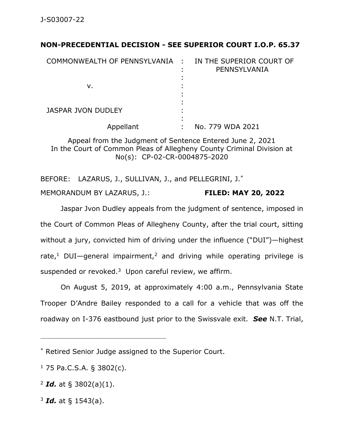## **NON-PRECEDENTIAL DECISION - SEE SUPERIOR COURT I.O.P. 65.37**

| COMMONWEALTH OF PENNSYLVANIA : | IN THE SUPERIOR COURT OF<br>PENNSYLVANIA |
|--------------------------------|------------------------------------------|
| v.                             |                                          |
| <b>JASPAR JVON DUDLEY</b>      |                                          |
| Appellant                      | No. 779 WDA 2021                         |

Appeal from the Judgment of Sentence Entered June 2, 2021 In the Court of Common Pleas of Allegheny County Criminal Division at No(s): CP-02-CR-0004875-2020

BEFORE: LAZARUS, J., SULLIVAN, J., and PELLEGRINI, J.\* MEMORANDUM BY LAZARUS, J.: **FILED: MAY 20, 2022**

Jaspar Jvon Dudley appeals from the judgment of sentence, imposed in the Court of Common Pleas of Allegheny County, after the trial court, sitting without a jury, convicted him of driving under the influence ("DUI")—highest rate,<sup>1</sup> DUI—general impairment,<sup>2</sup> and driving while operating privilege is suspended or revoked. $3\,$  Upon careful review, we affirm.

On August 5, 2019, at approximately 4:00 a.m., Pennsylvania State Trooper D'Andre Bailey responded to a call for a vehicle that was off the roadway on I-376 eastbound just prior to the Swissvale exit. *See* N.T. Trial,

 $1$  75 Pa.C.S.A. § 3802(c).

\_\_\_\_\_\_\_\_\_\_\_\_\_\_\_\_\_\_\_\_\_\_\_\_\_\_\_\_\_\_\_\_\_\_\_\_\_\_\_\_\_\_\_\_

<sup>2</sup> *Id.* at § 3802(a)(1).

<sup>3</sup> *Id.* at § 1543(a).

<sup>\*</sup> Retired Senior Judge assigned to the Superior Court.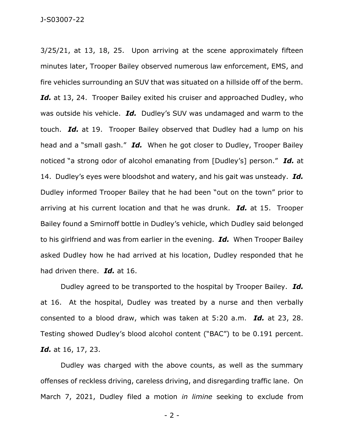3/25/21, at 13, 18, 25. Upon arriving at the scene approximately fifteen minutes later, Trooper Bailey observed numerous law enforcement, EMS, and fire vehicles surrounding an SUV that was situated on a hillside off of the berm. Id. at 13, 24. Trooper Bailey exited his cruiser and approached Dudley, who was outside his vehicle. *Id.* Dudley's SUV was undamaged and warm to the touch. *Id.* at 19. Trooper Bailey observed that Dudley had a lump on his head and a "small gash." *Id.* When he got closer to Dudley, Trooper Bailey noticed "a strong odor of alcohol emanating from [Dudley's] person." *Id.* at 14. Dudley's eyes were bloodshot and watery, and his gait was unsteady. *Id.* Dudley informed Trooper Bailey that he had been "out on the town" prior to arriving at his current location and that he was drunk. *Id.* at 15. Trooper Bailey found a Smirnoff bottle in Dudley's vehicle, which Dudley said belonged to his girlfriend and was from earlier in the evening. *Id.* When Trooper Bailey asked Dudley how he had arrived at his location, Dudley responded that he had driven there. *Id.* at 16.

Dudley agreed to be transported to the hospital by Trooper Bailey. *Id.* at 16. At the hospital, Dudley was treated by a nurse and then verbally consented to a blood draw, which was taken at 5:20 a.m. *Id.* at 23, 28. Testing showed Dudley's blood alcohol content ("BAC") to be 0.191 percent. *Id.* at 16, 17, 23.

Dudley was charged with the above counts, as well as the summary offenses of reckless driving, careless driving, and disregarding traffic lane. On March 7, 2021, Dudley filed a motion *in limine* seeking to exclude from

- 2 -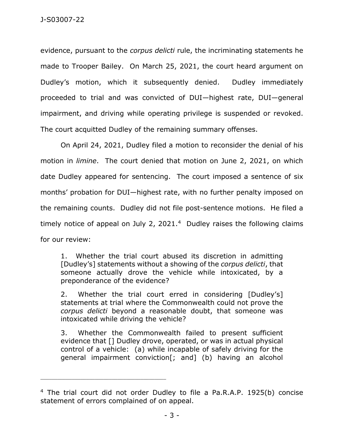evidence, pursuant to the *corpus delicti* rule, the incriminating statements he made to Trooper Bailey. On March 25, 2021, the court heard argument on Dudley's motion, which it subsequently denied. Dudley immediately proceeded to trial and was convicted of DUI—highest rate, DUI—general impairment, and driving while operating privilege is suspended or revoked. The court acquitted Dudley of the remaining summary offenses.

On April 24, 2021, Dudley filed a motion to reconsider the denial of his motion in *limine*. The court denied that motion on June 2, 2021, on which date Dudley appeared for sentencing. The court imposed a sentence of six months' probation for DUI—highest rate, with no further penalty imposed on the remaining counts. Dudley did not file post-sentence motions. He filed a timely notice of appeal on July 2, 2021.<sup>4</sup> Dudley raises the following claims for our review:

1. Whether the trial court abused its discretion in admitting [Dudley's] statements without a showing of the *corpus delicti*, that someone actually drove the vehicle while intoxicated, by a preponderance of the evidence?

2. Whether the trial court erred in considering [Dudley's] statements at trial where the Commonwealth could not prove the *corpus delicti* beyond a reasonable doubt, that someone was intoxicated while driving the vehicle?

3. Whether the Commonwealth failed to present sufficient evidence that [] Dudley drove, operated, or was in actual physical control of a vehicle: (a) while incapable of safely driving for the general impairment conviction[; and] (b) having an alcohol

\_\_\_\_\_\_\_\_\_\_\_\_\_\_\_\_\_\_\_\_\_\_\_\_\_\_\_\_\_\_\_\_\_\_\_\_\_\_\_\_\_\_\_\_

<sup>4</sup> The trial court did not order Dudley to file a Pa.R.A.P. 1925(b) concise statement of errors complained of on appeal.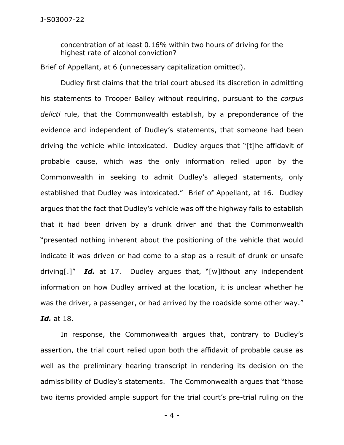concentration of at least 0.16% within two hours of driving for the highest rate of alcohol conviction?

Brief of Appellant, at 6 (unnecessary capitalization omitted).

Dudley first claims that the trial court abused its discretion in admitting his statements to Trooper Bailey without requiring, pursuant to the *corpus delicti* rule, that the Commonwealth establish, by a preponderance of the evidence and independent of Dudley's statements, that someone had been driving the vehicle while intoxicated. Dudley argues that "[t]he affidavit of probable cause, which was the only information relied upon by the Commonwealth in seeking to admit Dudley's alleged statements, only established that Dudley was intoxicated." Brief of Appellant, at 16. Dudley argues that the fact that Dudley's vehicle was off the highway fails to establish that it had been driven by a drunk driver and that the Commonwealth "presented nothing inherent about the positioning of the vehicle that would indicate it was driven or had come to a stop as a result of drunk or unsafe driving[.]" *Id.* at 17. Dudley argues that, "[w]ithout any independent information on how Dudley arrived at the location, it is unclear whether he was the driver, a passenger, or had arrived by the roadside some other way." *Id.* at 18.

In response, the Commonwealth argues that, contrary to Dudley's assertion, the trial court relied upon both the affidavit of probable cause as well as the preliminary hearing transcript in rendering its decision on the admissibility of Dudley's statements. The Commonwealth argues that "those two items provided ample support for the trial court's pre-trial ruling on the

- 4 -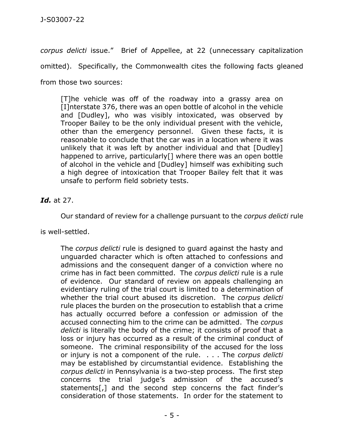*corpus delicti* issue." Brief of Appellee, at 22 (unnecessary capitalization

omitted). Specifically, the Commonwealth cites the following facts gleaned

from those two sources:

[T]he vehicle was off of the roadway into a grassy area on [I]nterstate 376, there was an open bottle of alcohol in the vehicle and [Dudley], who was visibly intoxicated, was observed by Trooper Bailey to be the only individual present with the vehicle, other than the emergency personnel. Given these facts, it is reasonable to conclude that the car was in a location where it was unlikely that it was left by another individual and that [Dudley] happened to arrive, particularly[] where there was an open bottle of alcohol in the vehicle and [Dudley] himself was exhibiting such a high degree of intoxication that Trooper Bailey felt that it was unsafe to perform field sobriety tests.

*Id.* at 27.

Our standard of review for a challenge pursuant to the *corpus delicti* rule

is well-settled.

The *corpus delicti* rule is designed to guard against the hasty and unguarded character which is often attached to confessions and admissions and the consequent danger of a conviction where no crime has in fact been committed. The *corpus delicti* rule is a rule of evidence. Our standard of review on appeals challenging an evidentiary ruling of the trial court is limited to a determination of whether the trial court abused its discretion. The *corpus delicti* rule places the burden on the prosecution to establish that a crime has actually occurred before a confession or admission of the accused connecting him to the crime can be admitted. The *corpus delicti* is literally the body of the crime; it consists of proof that a loss or injury has occurred as a result of the criminal conduct of someone. The criminal responsibility of the accused for the loss or injury is not a component of the rule. . . . The *corpus delicti* may be established by circumstantial evidence. Establishing the *corpus delicti* in Pennsylvania is a two-step process. The first step concerns the trial judge's admission of the accused's statements[,] and the second step concerns the fact finder's consideration of those statements. In order for the statement to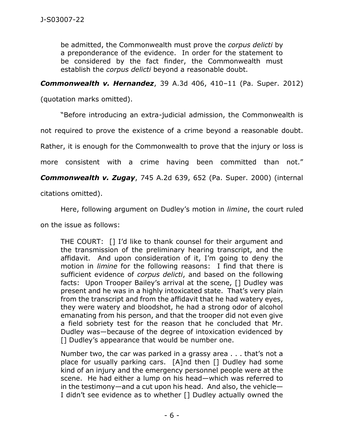be admitted, the Commonwealth must prove the *corpus delicti* by a preponderance of the evidence. In order for the statement to be considered by the fact finder, the Commonwealth must establish the *corpus delicti* beyond a reasonable doubt.

*Commonwealth v. Hernandez*, 39 A.3d 406, 410–11 (Pa. Super. 2012)

(quotation marks omitted).

"Before introducing an extra-judicial admission, the Commonwealth is

not required to prove the existence of a crime beyond a reasonable doubt.

Rather, it is enough for the Commonwealth to prove that the injury or loss is

more consistent with a crime having been committed than not."

*Commonwealth v. Zugay*, 745 A.2d 639, 652 (Pa. Super. 2000) (internal

citations omitted).

Here, following argument on Dudley's motion in *limine*, the court ruled

on the issue as follows:

THE COURT: [] I'd like to thank counsel for their argument and the transmission of the preliminary hearing transcript, and the affidavit. And upon consideration of it, I'm going to deny the motion in *limine* for the following reasons: I find that there is sufficient evidence of *corpus delicti*, and based on the following facts: Upon Trooper Bailey's arrival at the scene, [] Dudley was present and he was in a highly intoxicated state. That's very plain from the transcript and from the affidavit that he had watery eyes, they were watery and bloodshot, he had a strong odor of alcohol emanating from his person, and that the trooper did not even give a field sobriety test for the reason that he concluded that Mr. Dudley was—because of the degree of intoxication evidenced by [] Dudley's appearance that would be number one.

Number two, the car was parked in a grassy area . . . that's not a place for usually parking cars. [A]nd then [] Dudley had some kind of an injury and the emergency personnel people were at the scene. He had either a lump on his head—which was referred to in the testimony—and a cut upon his head. And also, the vehicle— I didn't see evidence as to whether [] Dudley actually owned the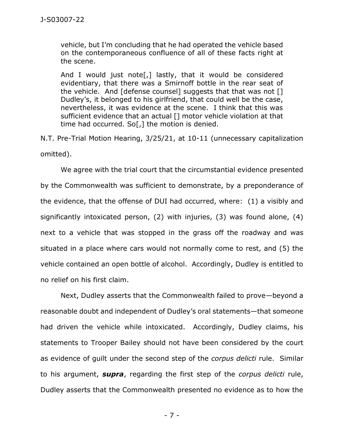vehicle, but I'm concluding that he had operated the vehicle based on the contemporaneous confluence of all of these facts right at the scene.

And I would just note[,] lastly, that it would be considered evidentiary, that there was a Smirnoff bottle in the rear seat of the vehicle. And [defense counsel] suggests that that was not [] Dudley's, it belonged to his girlfriend, that could well be the case, nevertheless, it was evidence at the scene. I think that this was sufficient evidence that an actual [] motor vehicle violation at that time had occurred. So[,] the motion is denied.

N.T. Pre-Trial Motion Hearing, 3/25/21, at 10-11 (unnecessary capitalization omitted).

We agree with the trial court that the circumstantial evidence presented by the Commonwealth was sufficient to demonstrate, by a preponderance of the evidence, that the offense of DUI had occurred, where: (1) a visibly and significantly intoxicated person, (2) with injuries, (3) was found alone, (4) next to a vehicle that was stopped in the grass off the roadway and was situated in a place where cars would not normally come to rest, and (5) the vehicle contained an open bottle of alcohol. Accordingly, Dudley is entitled to no relief on his first claim.

Next, Dudley asserts that the Commonwealth failed to prove—beyond a reasonable doubt and independent of Dudley's oral statements—that someone had driven the vehicle while intoxicated. Accordingly, Dudley claims, his statements to Trooper Bailey should not have been considered by the court as evidence of guilt under the second step of the *corpus delicti* rule. Similar to his argument, *supra*, regarding the first step of the *corpus delicti* rule, Dudley asserts that the Commonwealth presented no evidence as to how the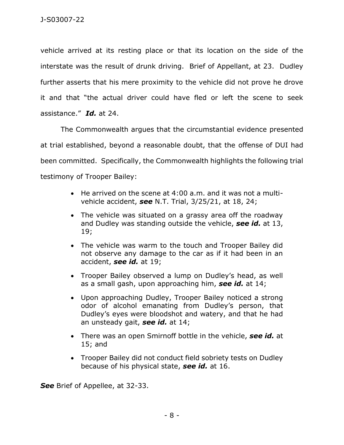vehicle arrived at its resting place or that its location on the side of the interstate was the result of drunk driving. Brief of Appellant, at 23. Dudley further asserts that his mere proximity to the vehicle did not prove he drove it and that "the actual driver could have fled or left the scene to seek assistance." *Id.* at 24.

The Commonwealth argues that the circumstantial evidence presented at trial established, beyond a reasonable doubt, that the offense of DUI had been committed. Specifically, the Commonwealth highlights the following trial testimony of Trooper Bailey:

- He arrived on the scene at 4:00 a.m. and it was not a multivehicle accident, *see* N.T. Trial, 3/25/21, at 18, 24;
- The vehicle was situated on a grassy area off the roadway and Dudley was standing outside the vehicle, *see id.* at 13, 19;
- The vehicle was warm to the touch and Trooper Bailey did not observe any damage to the car as if it had been in an accident, *see id.* at 19;
- Trooper Bailey observed a lump on Dudley's head, as well as a small gash, upon approaching him, *see id.* at 14;
- Upon approaching Dudley, Trooper Bailey noticed a strong odor of alcohol emanating from Dudley's person, that Dudley's eyes were bloodshot and watery, and that he had an unsteady gait, *see id.* at 14;
- There was an open Smirnoff bottle in the vehicle, *see id.* at 15; and
- Trooper Bailey did not conduct field sobriety tests on Dudley because of his physical state, *see id.* at 16.

*See* Brief of Appellee, at 32-33.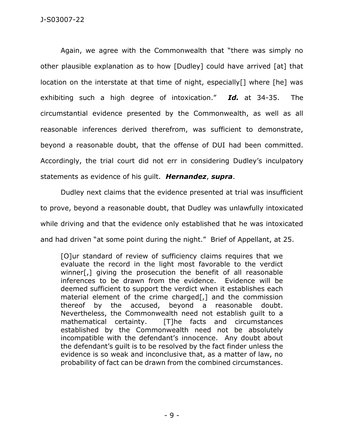Again, we agree with the Commonwealth that "there was simply no other plausible explanation as to how [Dudley] could have arrived [at] that location on the interstate at that time of night, especially[] where [he] was exhibiting such a high degree of intoxication." *Id.* at 34-35. The circumstantial evidence presented by the Commonwealth, as well as all reasonable inferences derived therefrom, was sufficient to demonstrate, beyond a reasonable doubt, that the offense of DUI had been committed. Accordingly, the trial court did not err in considering Dudley's inculpatory statements as evidence of his guilt. *Hernandez*, *supra*.

Dudley next claims that the evidence presented at trial was insufficient to prove, beyond a reasonable doubt, that Dudley was unlawfully intoxicated while driving and that the evidence only established that he was intoxicated and had driven "at some point during the night." Brief of Appellant, at 25.

[O]ur standard of review of sufficiency claims requires that we evaluate the record in the light most favorable to the verdict winner[,] giving the prosecution the benefit of all reasonable inferences to be drawn from the evidence. Evidence will be deemed sufficient to support the verdict when it establishes each material element of the crime charged[,] and the commission thereof by the accused, beyond a reasonable doubt. Nevertheless, the Commonwealth need not establish guilt to a mathematical certainty. [T]he facts and circumstances established by the Commonwealth need not be absolutely incompatible with the defendant's innocence. Any doubt about the defendant's guilt is to be resolved by the fact finder unless the evidence is so weak and inconclusive that, as a matter of law, no probability of fact can be drawn from the combined circumstances.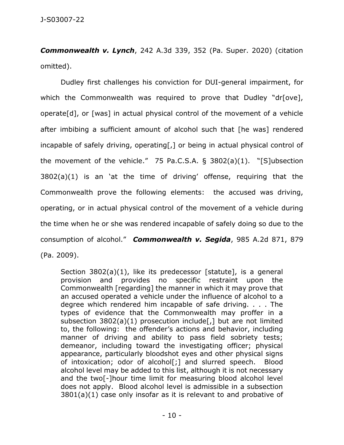*Commonwealth v. Lynch*, 242 A.3d 339, 352 (Pa. Super. 2020) (citation omitted).

Dudley first challenges his conviction for DUI-general impairment, for which the Commonwealth was required to prove that Dudley "dr[ove], operate[d], or [was] in actual physical control of the movement of a vehicle after imbibing a sufficient amount of alcohol such that [he was] rendered incapable of safely driving, operating[,] or being in actual physical control of the movement of the vehicle." 75 Pa.C.S.A. § 3802(a)(1). "[S]ubsection 3802(a)(1) is an 'at the time of driving' offense, requiring that the Commonwealth prove the following elements: the accused was driving, operating, or in actual physical control of the movement of a vehicle during the time when he or she was rendered incapable of safely doing so due to the consumption of alcohol." *Commonwealth v. Segida*, 985 A.2d 871, 879 (Pa. 2009).

Section 3802(a)(1), like its predecessor [statute], is a general provision and provides no specific restraint upon the Commonwealth [regarding] the manner in which it may prove that an accused operated a vehicle under the influence of alcohol to a degree which rendered him incapable of safe driving. . . . The types of evidence that the Commonwealth may proffer in a subsection  $3802(a)(1)$  prosecution include[,] but are not limited to, the following: the offender's actions and behavior, including manner of driving and ability to pass field sobriety tests; demeanor, including toward the investigating officer; physical appearance, particularly bloodshot eyes and other physical signs of intoxication; odor of alcohol[;] and slurred speech. Blood alcohol level may be added to this list, although it is not necessary and the two[-]hour time limit for measuring blood alcohol level does not apply. Blood alcohol level is admissible in a subsection 3801(a)(1) case only insofar as it is relevant to and probative of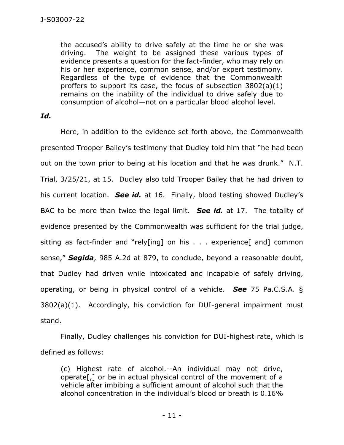the accused's ability to drive safely at the time he or she was driving. The weight to be assigned these various types of evidence presents a question for the fact-finder, who may rely on his or her experience, common sense, and/or expert testimony. Regardless of the type of evidence that the Commonwealth proffers to support its case, the focus of subsection 3802(a)(1) remains on the inability of the individual to drive safely due to consumption of alcohol—not on a particular blood alcohol level.

## *Id.*

Here, in addition to the evidence set forth above, the Commonwealth presented Trooper Bailey's testimony that Dudley told him that "he had been out on the town prior to being at his location and that he was drunk." N.T. Trial, 3/25/21, at 15. Dudley also told Trooper Bailey that he had driven to his current location. *See id.* at 16. Finally, blood testing showed Dudley's BAC to be more than twice the legal limit. *See id.* at 17. The totality of evidence presented by the Commonwealth was sufficient for the trial judge, sitting as fact-finder and "rely[ing] on his . . . experience[ and] common sense," *Segida*, 985 A.2d at 879, to conclude, beyond a reasonable doubt, that Dudley had driven while intoxicated and incapable of safely driving, operating, or being in physical control of a vehicle. *See* 75 Pa.C.S.A. § 3802(a)(1). Accordingly, his conviction for DUI-general impairment must stand.

Finally, Dudley challenges his conviction for DUI-highest rate, which is defined as follows:

(c) Highest rate of alcohol.--An individual may not drive, operate[,] or be in actual physical control of the movement of a vehicle after imbibing a sufficient amount of alcohol such that the alcohol concentration in the individual's blood or breath is 0.16%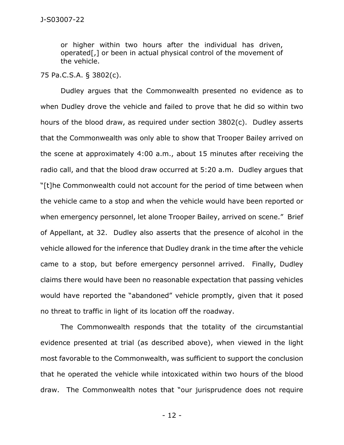or higher within two hours after the individual has driven, operated[,] or been in actual physical control of the movement of the vehicle.

## 75 Pa.C.S.A. § 3802(c).

Dudley argues that the Commonwealth presented no evidence as to when Dudley drove the vehicle and failed to prove that he did so within two hours of the blood draw, as required under section 3802(c). Dudley asserts that the Commonwealth was only able to show that Trooper Bailey arrived on the scene at approximately 4:00 a.m., about 15 minutes after receiving the radio call, and that the blood draw occurred at 5:20 a.m. Dudley argues that "[t]he Commonwealth could not account for the period of time between when the vehicle came to a stop and when the vehicle would have been reported or when emergency personnel, let alone Trooper Bailey, arrived on scene." Brief of Appellant, at 32. Dudley also asserts that the presence of alcohol in the vehicle allowed for the inference that Dudley drank in the time after the vehicle came to a stop, but before emergency personnel arrived. Finally, Dudley claims there would have been no reasonable expectation that passing vehicles would have reported the "abandoned" vehicle promptly, given that it posed no threat to traffic in light of its location off the roadway.

The Commonwealth responds that the totality of the circumstantial evidence presented at trial (as described above), when viewed in the light most favorable to the Commonwealth, was sufficient to support the conclusion that he operated the vehicle while intoxicated within two hours of the blood draw. The Commonwealth notes that "our jurisprudence does not require

- 12 -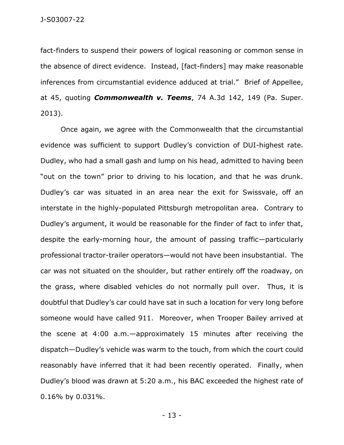fact-finders to suspend their powers of logical reasoning or common sense in the absence of direct evidence. Instead, [fact-finders] may make reasonable inferences from circumstantial evidence adduced at trial." Brief of Appellee, at 45, quoting *Commonwealth v. Teems*, 74 A.3d 142, 149 (Pa. Super. 2013).

Once again, we agree with the Commonwealth that the circumstantial evidence was sufficient to support Dudley's conviction of DUI-highest rate. Dudley, who had a small gash and lump on his head, admitted to having been "out on the town" prior to driving to his location, and that he was drunk. Dudley's car was situated in an area near the exit for Swissvale, off an interstate in the highly-populated Pittsburgh metropolitan area. Contrary to Dudley's argument, it would be reasonable for the finder of fact to infer that, despite the early-morning hour, the amount of passing traffic—particularly professional tractor-trailer operators—would not have been insubstantial. The car was not situated on the shoulder, but rather entirely off the roadway, on the grass, where disabled vehicles do not normally pull over. Thus, it is doubtful that Dudley's car could have sat in such a location for very long before someone would have called 911. Moreover, when Trooper Bailey arrived at the scene at 4:00 a.m.—approximately 15 minutes after receiving the dispatch—Dudley's vehicle was warm to the touch, from which the court could reasonably have inferred that it had been recently operated. Finally, when Dudley's blood was drawn at 5:20 a.m., his BAC exceeded the highest rate of 0.16% by 0.031%.

- 13 -